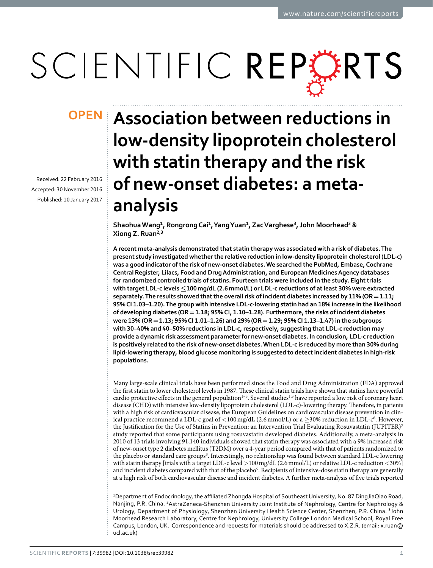# SCIENTIFIC REPERTS

Received: 22 February 2016 accepted: 30 November 2016 Published: 10 January 2017

## **Association between reductions in OPENlow-density lipoprotein cholesterol with statin therapy and the risk of new-onset diabetes: a metaanalysis**

**ShaohuaWang<sup>1</sup>, RongrongCai<sup>1</sup>, YangYuan<sup>1</sup>, ZacVarghese<sup>3</sup>, John Moorhead<sup>3</sup> & XiongZ. Ruan<sup>2</sup>,<sup>3</sup>**

**A recent meta-analysis demonstrated that statin therapy was associated with a risk of diabetes. The present study investigated whether the relative reduction in low-density lipoprotein cholesterol (LDL-c) was a good indicator of the risk of new-onset diabetes. We searched the PubMed, Embase, Cochrane Central Register, Lilacs, Food and Drug Administration, and European Medicines Agency databases for randomized controlled trials of statins. Fourteen trials were included in the study. Eight trials with target LDL-c levels ≤100 mg/dL (2.6 mmol/L) or LDL-c reductions of atleast 30% were extracted separately. The results showed that the overall risk of incident diabetes increased by 11% (OR = 1.11; 95% CI 1.03–1.20).The group with intensive LDL-c-lowering statin had an 18% increase in the likelihood of developing diabetes (OR = 1.18; 95% CI, 1.10–1.28). Furthermore,the risks of incident diabetes** were 13% (OR = 1.13; 95% CI 1.01-1.26) and 29% (OR = 1.29; 95% CI 1.13-1.47) in the subgroups **with 30–40% and 40–50% reductions in LDL-c, respectively, suggesting that LDL-c reduction may provide a dynamic risk assessment parameter for new-onset diabetes. In conclusion, LDL-c reduction is positively related to the risk of new-onset diabetes.When LDL-c is reduced by more than 30% during lipid-lowering therapy, blood glucose monitoring is suggested to detect incident diabetes in high-risk populations.**

Many large-scale clinical trials have been performed since the Food and Drug Administration (FDA) approved the first statin to lower cholesterol levels in 1987. These clinical statin trials have shown that statins have powerful cardio protective effects in the general population<sup>1-5</sup>. Several studies<sup>1[,3](#page-7-1)</sup> have reported a low risk of coronary heart disease (CHD) with intensive low-density lipoprotein cholesterol (LDL-c)-lowering therapy. Therefore, in patients with a high risk of cardiovascular disease, the European Guidelines on cardiovascular disease prevention in clinical practice recommend a LDL-c goal of  $\lt 100$  mg/dL (2.[6](#page-7-2) mmol/L) or a  $\geq$ 30% reduction in LDL-c<sup>6</sup>. However, the Justification for the Use of Statins in Prevention: an Intervention Trial Evaluating Rosuvastatin (JUPITER)[7](#page-7-3) study reported that some participants using rosuvastatin developed diabetes. Additionally, a meta-analysis in 2010 of 13 trials involving 91,140 individuals showed that statin therapy was associated with a 9% increased risk of new-onset type 2 diabetes mellitus (T2DM) over a 4-year period compared with that of patients randomized to the placebo or standard care groups<sup>[8](#page-7-4)</sup>. Interestingly, no relationship was found between standard LDL-c lowering with statin therapy [trials with a target LDL-c level >100mg/dL (2.6mmol/L) or relative LDL-c reduction <30%] and incident diabetes compared with that of the placebo<sup>[9](#page-7-5)</sup>. Recipients of intensive-dose statin therapy are generally at a high risk of both cardiovascular disease and incident diabetes. A further meta-analysis of five trials reported

1 Department of Endocrinology, the affiliated Zhongda Hospital of Southeast University, No. 87 DingJiaQiao Road, Nanjing, P.R. China. <sup>2</sup>AstraZeneca-Shenzhen University Joint Institute of Nephrology, Centre for Nephrology & Urology, Department of Physiology, Shenzhen University Health Science Center, Shenzhen, P.R. China. 3John Moorhead Research Laboratory, Centre for Nephrology, University College London Medical School, Royal Free Campus, London, UK. Correspondence and requests for materials should be addressed to X.Z.R. (email: [x.ruan@](mailto:x.ruan@ucl.ac.uk) [ucl.ac.uk\)](mailto:x.ruan@ucl.ac.uk)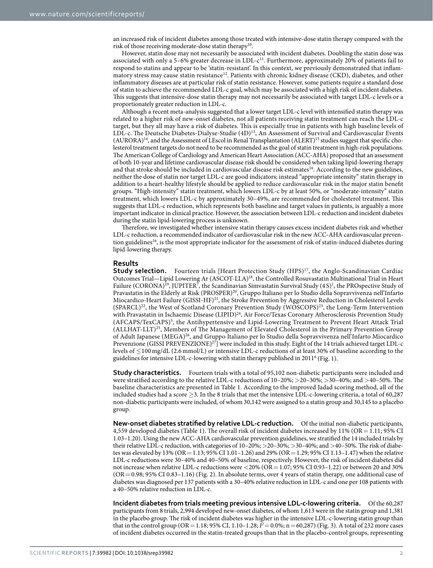an increased risk of incident diabetes among those treated with intensive-dose statin therapy compared with the risk of those receiving moderate-dose statin therapy<sup>[10](#page-7-6)</sup>.

However, statin dose may not necessarily be associated with incident diabetes. Doubling the statin dose was associated with only a 5–6% greater decrease in LDL-c<sup>11</sup>. Furthermore, approximately 20% of patients fail to respond to statins and appear to be 'statin-resistant'. In this context, we previously demonstrated that inflammatory stress may cause statin resistance<sup>12</sup>. Patients with chronic kidney disease (CKD), diabetes, and other inflammatory diseases are at particular risk of statin resistance. However, some patients require a standard dose of statin to achieve the recommended LDL-c goal, which may be associated with a high risk of incident diabetes. This suggests that intensive-dose statin therapy may not necessarily be associated with target LDL-c levels or a proportionately greater reduction in LDL-c.

Although a recent meta-analysis suggested that a lower target LDL-c level with intensified statin therapy was related to a higher risk of new-onset diabetes, not all patients receiving statin treatment can reach the LDL-c target, but they all may have a risk of diabetes. This is especially true in patients with high baseline levels of LDL-c. The Deutsche Diabetes-Dialyse-Studie (4D[\)13](#page-7-9), An Assessment of Survival and Cardiovascular Events (AURORA)[14](#page-7-10), and the Assessment of LEscol in Renal Transplantation (ALERT)[15](#page-7-11) studies suggest that specific cholesterol treatment targets do not need to be recommended as the goal of statin treatment in high-risk populations. The American College of Cardiology and American Heart Association (ACC-AHA) proposed that an assessment of both 10-year and lifetime cardiovascular disease risk should be considered when taking lipid-lowering therapy and that stroke should be included in cardiovascular disease risk estimates<sup>16</sup>. According to the new guidelines, neither the dose of statin nor target LDL-c are good indicators; instead "appropriate intensity" statin therapy in addition to a heart-healthy lifestyle should be applied to reduce cardiovascular risk in the major statin benefit groups. "High-intensity" statin treatment, which lowers LDL-c by at least 50%, or "moderate-intensity" statin treatment, which lowers LDL-c by approximately 30–49%, are recommended for cholesterol treatment. This suggests that LDL-c reduction, which represents both baseline and target values in patients, is arguably a more important indicator in clinical practice. However, the association between LDL-c reduction and incident diabetes during the statin lipid-lowering process is unknown.

Therefore, we investigated whether intensive statin therapy causes excess incident diabetes risk and whether LDL-c reduction, a recommended indicator of cardiovascular risk in the new ACC-AHA cardiovascular preven-tion guidelines<sup>[16](#page-7-12)</sup>, is the most appropriate indicator for the assessment of risk of statin-induced diabetes during lipid-lowering therapy.

#### **Results**

**Study selection.** Fourteen trials [Heart Protection Study (HPS)<sup>17</sup>, the Anglo-Scandinavian Cardiac Outcomes Trial—Lipid Lowering Ar (ASCOT-LLA[\)18,](#page-8-1) the Controlled Rosuvastatin Multinational Trial in Heart Failure (CORONA)<sup>[19](#page-8-2)</sup>, JUPITER<sup>[7](#page-7-3)</sup>, the Scandinavian Simvastatin Survival Study (4S)<sup>1</sup>, the PROspective Study of Pravastatin in the Elderly at Risk (PROSPER)<sup>20</sup>, Gruppo Italiano per lo Studio della Sopravvivenza nell'Infarto Miocardico-Heart Failure (GISSI-HF)<sup>[21](#page-8-4)</sup>, the Stroke Prevention by Aggressive Reduction in Cholesterol Levels  $(SPARCL)^{22}$ , the West of Scotland Coronary Prevention Study (WOSCOPS)<sup>[23](#page-8-6)</sup>, the Long-Term Intervention with Pravastatin in Ischaemic Disease (LIPID)<sup>24</sup>, Air Force/Texas Coronary Atherosclerosis Prevention Study (AFCAPS/TexCAPS)[5](#page-7-13) , the Antihypertensive and Lipid-Lowering Treatment to Prevent Heart Attack Trial (ALLHAT-LLT)[25,](#page-8-8) Members of The Management of Elevated Cholesterol in the Primary Prevention Group of Adult Japanese (MEGA)<sup>26</sup>, and Gruppo Italiano per lo Studio della Sopravvivenza nell'Infarto Miocardico Prevenzione (GISSI PREVENZIONE)<sup>[27](#page-8-10)</sup>] were included in this study. Eight of the 14 trials achieved target LDL-c levels of ≤100 mg/dL (2.6 mmol/L) or intensive LDL-c reductions of at least 30% of baseline according to the guidelines for intensive LDL-c-lowering with statin therapy published in 2011<sup>6</sup> [\(Fig. 1\)](#page-2-0).

**Study characteristics.** Fourteen trials with a total of 95,102 non-diabetic participants were included and were stratified according to the relative LDL-c reductions of 10–20%; >20–30%; >30–40%; and >40–50%. The baseline characteristics are presented in [Table 1.](#page-3-0) According to the improved Jadad scoring method, all of the included studies had a score  $\geq$ 3. In the 8 trials that met the intensive LDL-c-lowering criteria, a total of 60,287 non-diabetic participants were included, of whom 30,142 were assigned to a statin group and 30,145 to a placebo group.

**New-onset diabetes stratified by relative LDL-c reduction.** Of the initial non-diabetic participants, 4,559 developed diabetes [\(Table 1](#page-3-0)). The overall risk of incident diabetes increased by 11% (OR= 1.11; 95% CI 1.03–1.20). Using the new ACC-AHA cardiovascular prevention guidelines, we stratified the 14 included trials by their relative LDL-c reduction, with categories of 10–20%; >20–30%; >30–40%; and >40–50%. The risk of diabetes was elevated by 13% (OR= 1.13; 95% CI 1.01–1.26) and 29% (OR= 1.29; 95% CI 1.13–1.47) when the relative LDL-c reductions were 30–40% and 40–50% of baseline, respectively. However, the risk of incident diabetes did not increase when relative LDL-c reductions were <20% (OR=1.07; 95% CI 0.93–1.22) or between 20 and 30%  $(OR = 0.98; 95\% \text{ CI } 0.83-1.16)$  ([Fig. 2\)](#page-4-0). In absolute terms, over 4 years of statin therapy, one additional case of diabetes was diagnosed per 137 patients with a 30–40% relative reduction in LDL-c and one per 108 patients with a 40–50% relative reduction in LDL-c.

**Incident diabetes from trials meeting previous intensive LDL-c-lowering criteria.** Of the 60,287 participants from 8 trials, 2,994 developed new-onset diabetes, of whom 1,613 were in the statin group and 1,381 in the placebo group. The risk of incident diabetes was higher in the intensive LDL-c-lowering statin group than that in the control group (OR = 1.18; 95% CI, 1.10–1.28;  $I^2 = 0.0$ %; n = 60,287) [\(Fig. 3\)](#page-4-1). A total of 232 more cases of incident diabetes occurred in the statin-treated groups than that in the placebo-control groups, representing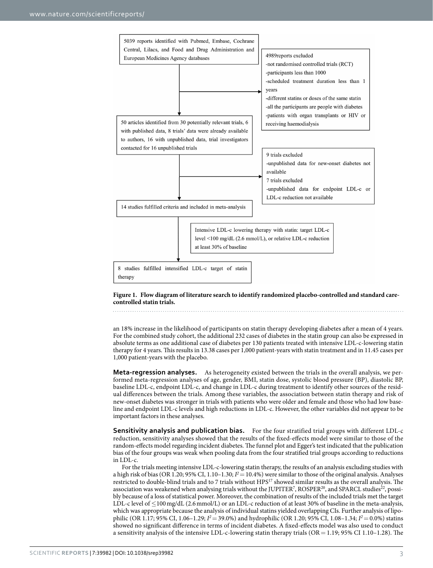

<span id="page-2-0"></span>**Figure 1. Flow diagram of literature search to identify randomized placebo-controlled and standard carecontrolled statin trials.** 

an 18% increase in the likelihood of participants on statin therapy developing diabetes after a mean of 4 years. For the combined study cohort, the additional 232 cases of diabetes in the statin group can also be expressed in absolute terms as one additional case of diabetes per 130 patients treated with intensive LDL-c-lowering statin therapy for 4 years. This results in 13.38 cases per 1,000 patient-years with statin treatment and in 11.45 cases per 1,000 patient-years with the placebo.

**Meta-regression analyses.** As heterogeneity existed between the trials in the overall analysis, we performed meta-regression analyses of age, gender, BMI, statin dose, systolic blood pressure (BP), diastolic BP, baseline LDL-c, endpoint LDL-c, and change in LDL-c during treatment to identify other sources of the residual differences between the trials. Among these variables, the association between statin therapy and risk of new-onset diabetes was stronger in trials with patients who were older and female and those who had low baseline and endpoint LDL-c levels and high reductions in LDL-c. However, the other variables did not appear to be important factors in these analyses.

**Sensitivity analysis and publication bias.** For the four stratified trial groups with different LDL-c reduction, sensitivity analyses showed that the results of the fixed-effects model were similar to those of the random-effects model regarding incident diabetes. The funnel plot and Egger's test indicated that the publication bias of the four groups was weak when pooling data from the four stratified trial groups according to reductions in LDL-c.

For the trials meeting intensive LDL-c-lowering statin therapy, the results of an analysis excluding studies with a high risk of bias (OR 1.20; 95% CI, 1.10–1.30;  $I^2 = 10.4\%$ ) were similar to those of the original analysis. Analyses restricted to double-blind trials and to 7 trials without HPS<sup>17</sup> showed similar results as the overall analysis. The association was weakened when analysing trials without the JUPITER<sup>[7](#page-7-3)</sup>, ROSPER<sup>[20](#page-8-3)</sup>, and SPARCL studies<sup>[22](#page-8-5)</sup>, possibly because of a loss of statistical power. Moreover, the combination of results of the included trials met the target LDL-c level of ≤100 mg/dL (2.6 mmol/L) or an LDL-c reduction of at least 30% of baseline in the meta-analysis, which was appropriate because the analysis of individual statins yielded overlapping CIs. Further analysis of lipophilic (OR 1.17; 95% CI, 1.06–1.29;  $I^2 = 39.0\%$ ) and hydrophilic (OR 1.20; 95% CI, 1.08–1.34;  $I^2 = 0.0\%$ ) statins showed no significant difference in terms of incident diabetes. A fixed-effects model was also used to conduct a sensitivity analysis of the intensive LDL-c-lowering statin therapy trials (OR= 1.19; 95% CI 1.10–1.28). The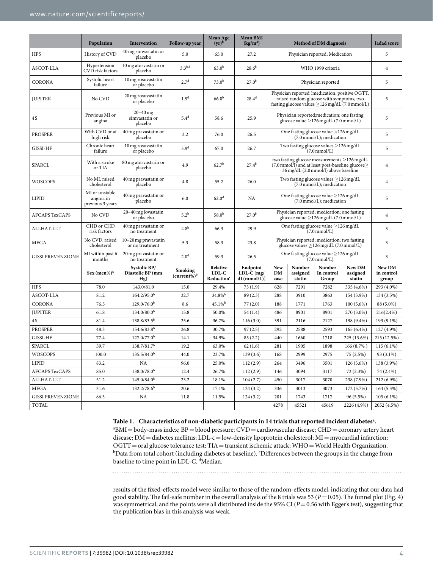<span id="page-3-0"></span>

|                          | Population                                      | Intervention                              | Follow-up year             | <b>Mean Age</b><br>$(yr)^b$                          | Mean BMI<br>(kg/m <sup>2</sup> )        | <b>Method of DM diagnosis</b>                                                                                                                                 |                              |                               |                              | Jadad score                   |
|--------------------------|-------------------------------------------------|-------------------------------------------|----------------------------|------------------------------------------------------|-----------------------------------------|---------------------------------------------------------------------------------------------------------------------------------------------------------------|------------------------------|-------------------------------|------------------------------|-------------------------------|
| <b>HPS</b>               | History of CVD                                  | 40 mg simvastatin or<br>placebo           | 5.0                        | 65.0                                                 | 27.2                                    | Physician reported; Medication                                                                                                                                |                              |                               |                              | 5                             |
| ASCOT-LLA                | Hypertension<br>CVD risk factors                | 10 mg atorvastatin or<br>placebo          | $3.3^{b,d}$                | $63.0^{b}$                                           | $28.6^{b}$                              | WHO 1999 criteria                                                                                                                                             |                              |                               |                              | 4                             |
| <b>CORONA</b>            | Systolic heart<br>failure                       | 10 mg rosuvastatin<br>or placebo          | 2.7 <sup>d</sup>           | 73.0 <sup>b</sup>                                    | $27.0^{b}$                              | Physician reported                                                                                                                                            |                              |                               |                              | 5                             |
| <b>JUPITER</b>           | No CVD                                          | 20 mg rosuvastatin<br>or placebo          | 1.9 <sup>d</sup>           | 66.0 <sup>b</sup>                                    | $28.4^{\rm d}$                          | Physician reported (medication, positive OGTT,<br>raised random glucose with symptoms, two<br>fasting glucose values $\geq$ 126 mg/dL (7.0 mmol/L)            |                              |                               |                              | 5                             |
| 4 S                      | Previous MI or<br>angina                        | $20 - 40$ mg<br>simvastatin or<br>placebo | 5.4 <sup>d</sup>           | 58.6                                                 | 25.9                                    | Physician reported; medication; one fasting<br>glucose value $\geq$ 126 mg/dL (7.0 mmol/L)                                                                    |                              |                               |                              | 5                             |
| <b>PROSPER</b>           | With CVD or at<br>high risk                     | 40 mg pravastatin or<br>placebo           | 3.2                        | 76.0                                                 | 26.5                                    | One fasting glucose value $>126$ mg/dL<br>(7.0 mmol/L); medication                                                                                            |                              |                               |                              | 5                             |
| GISSI-HF                 | Chronic heart<br>failure                        | 10 mg rosuvastatin<br>or placebo          | 3.9 <sup>d</sup>           | 67.0                                                 | 26.7                                    | Two fasting glucose values $\geq$ 126 mg/dL<br>$(7.0 \text{mmol/L})$                                                                                          |                              |                               |                              | 5                             |
| SPARCL                   | With a stroke<br>or TIA                         | 80 mg atorvastatin or<br>placebo          | 4.9                        | 62.7 <sup>b</sup>                                    | $27.4^{b}$                              | two fasting glucose measurements $\geq$ 126 mg/dL<br>$(7.0 \text{ mmol/l})$ and at least post-baseline glucose $\geq$<br>36 mg/dL (2.0 mmol/l) above baseline |                              |                               |                              | $\overline{4}$                |
| WOSCOPS                  | No MI, raised<br>cholesterol                    | 40 mg pravastatin or<br>placebo           | 4.8                        | 55.2                                                 | 26.0                                    | Two fasting glucose values ${\geq}126\,\mathrm{mg}/\mathrm{dL}$<br>$(7.0 \text{ mmol/L})$ ; medication                                                        |                              |                               |                              | $\overline{4}$                |
| <b>LIPID</b>             | MI or unstable<br>angina in<br>previous 3 years | 40 mg pravastatin or<br>placebo           | 6.0                        | 62.0 <sup>d</sup>                                    | NA                                      | One fasting glucose value $\geq$ 126 mg/dL<br>$(7.0 \,\mathrm{mmol/L})$ ; medication                                                                          |                              |                               |                              | 5                             |
| AFCAPS TexCAPS           | No CVD                                          | 20-40 mg lovastatin<br>or placebo         | 5.2 <sup>b</sup>           | 58.0 <sup>b</sup>                                    | 27.0 <sup>b</sup>                       | Physician reported; medication; one fasting<br>glucose value $\geq$ 126 mg/dL (7.0 mmol/L)                                                                    |                              |                               |                              | $\overline{4}$                |
| ALLHAT-LLT               | CHD or CHD<br>risk factors                      | 40 mg pravastatin or<br>no treatment      | 4.8 <sup>b</sup>           | 66.3                                                 | 29.9                                    | One fasting glucose value $\geq$ 126 mg/dL<br>$(7.0 \,\mathrm{mmol/L})$                                                                                       |                              |                               |                              | 3                             |
| MEGA                     | No CVD, raised<br>cholesterol                   | $10-20$ mg pravastatin<br>or no treatment | 5.3                        | 58.3                                                 | 23.8                                    | Physician reported; medication; two fasting<br>glucose values $\geq$ 126 mg/dL (7.0 mmol/L)                                                                   |                              |                               |                              | $\overline{3}$                |
| <b>GISSI PREVENZIONE</b> | MI within past 6<br>months                      | 20 mg pravastatin or<br>no treatment      | 2.0 <sup>d</sup>           | 59.3                                                 | 26.5                                    | One fasting glucose value $\geq$ 126 mg/dL<br>$(7.0 \text{mmol/L})$                                                                                           |                              |                               |                              | 3                             |
|                          | Sex (men%) <sup>b</sup>                         | Systolic BP/<br>Diastolic BP (mm<br>Hg)   | Smoking<br>$(current\%)^b$ | Relative<br>$LDL-C$<br><b>Reduction</b> <sup>c</sup> | Endpoint<br>$LDL-C$ [mg/<br>dL(mmol/L)] | New<br>DM<br>case                                                                                                                                             | Number<br>assigned<br>statin | Number<br>In control<br>Group | New DM<br>assigned<br>statin | New DM<br>in control<br>group |
| <b>HPS</b>               | 78.0                                            | 143.0/81.0                                | 15.0                       | 29.4%                                                | 73(1.9)                                 | 628                                                                                                                                                           | 7291                         | 7282                          | 335 (4.6%)                   | 293 (4.0%)                    |
| ASCOT-LLA                | 81.2                                            | 164.2/95.0 <sup>b</sup>                   | 32.7                       | 34.8%b                                               | 89(2.3)                                 | 288                                                                                                                                                           | 3910                         | 3863                          | 154 (3.9%)                   | 134 (3.5%)                    |
| CORONA                   | 76.5                                            | 129.0/76.0 <sup>b</sup>                   | 8.6                        | $45.1\%$                                             | 77(2.0)                                 | 188                                                                                                                                                           | 1771                         | 1763                          | $100(5.6\%)$                 | 88 (5.0%)                     |
| <b>JUPITER</b>           | 61.8                                            | 134.0/80.0 <sup>b</sup>                   | 15.8                       | 50.0%                                                | 54(1.4)                                 | 486                                                                                                                                                           | 8901                         | 8901                          | 270 (3.0%)                   | $216(2.4\%)$                  |
| 4 S                      | 81.4                                            | 138.8/83.5 <sup>b</sup>                   | 25.6                       | 36.7%                                                | 116(3.0)                                | 391                                                                                                                                                           | 2116                         | 2127                          | 198 (9.4%)                   | 193 (9.1%)                    |
| PROSPER                  | 48.3                                            | 154.6/83.8 <sup>b</sup>                   | 26.8                       | 30.7%                                                | 97(2.5)                                 | 292                                                                                                                                                           | 2588                         | 2593                          | $165(6.4\%)$                 | 127 (4.9%)                    |
| GISSI-HF                 | 77.4                                            | 127.0/77.0 <sup>b</sup>                   | 14.1                       | 34.9%                                                | 85(2.2)                                 | 440                                                                                                                                                           | 1660                         | 1718                          | 225 (13.6%)                  | 215 (12.5%)                   |
| SPARCL                   | 59.7                                            | 138.7/81.7 <sup>b</sup>                   | 19.2                       | 63.0%                                                | 62(1.6)                                 | 281                                                                                                                                                           | 1905                         | 1898                          | 166 (8.7%)                   | $115(6.1\%)$                  |
| WOSCOPS                  | 100.0                                           | 135.5/84.0 <sup>b</sup>                   | 44.0                       | 23.7%                                                | 139(3.6)                                | 168                                                                                                                                                           | 2999                         | 2975                          | 75 (2.5%)                    | 93 (3.1%)                     |
| <b>LIPID</b>             | 83.2                                            | NA                                        | 96.0                       | 25.0%                                                | 112(2.9)                                | 264                                                                                                                                                           | 3496                         | 3501                          | 126 (3.6%)                   | 138 (3.9%)                    |
| AFCAPS TexCAPS           | 85.0                                            | 138.0/78.0 <sup>b</sup>                   | 12.4                       | 26.7%                                                | 112(2.9)                                | 146                                                                                                                                                           | 3094                         | 3117                          | 72 (2.3%)                    | 74 (2.4%)                     |
| ALLHAT-LLT               | 51.2                                            | 145.0/84.0 <sup>b</sup>                   | 23.2                       | 18.1%                                                | 104(2.7)                                | 450                                                                                                                                                           | 3017                         | 3070                          | 238 (7.9%)                   | 212 (6.9%)                    |
| <b>MEGA</b>              | 31.6                                            | 132.2/78.6 <sup>b</sup>                   | 20.6                       | 17.1%                                                | 124(3.2)                                | 336                                                                                                                                                           | 3013                         | 3073                          | 172 (5.7%)                   | 164 (5.3%)                    |
| <b>GISSI PREVENZIONE</b> | 86.3                                            | <b>NA</b>                                 | 11.8                       | 11.5%                                                | 124(3.2)                                | 201                                                                                                                                                           | 1743                         | 1717                          | 96 (5.5%)                    | $105(6.1\%)$                  |
| <b>TOTAL</b>             |                                                 |                                           |                            |                                                      |                                         | 4278                                                                                                                                                          | 45521                        | 45619                         | 2226 (4.9%)                  | 2052 (4.5%)                   |

#### **Table 1. Characteristics of non-diabetic participants in 14 trials that reported incident diabetesa .**

 $\rm{^aBMI}$   $=$  body-mass index; BP  $=$  blood pressure; CVD  $=$  cardiovascular disease; CHD  $=$  coronary artery heart disease;  $DM =$  diabetes mellitus;  $LDL - c = low$ -density lipoprotein cholesterol;  $MI =$  myocardial infarction; OGTT = oral glucose tolerance test; TIA = transient ischemic attack; WHO = World Health Organization. Data from total cohort (including diabetes at baseline). 'Differences between the groups in the change from baseline to time point in LDL-C. <sup>d</sup>Median.

 $\ldots$  .

results of the fixed-effects model were similar to those of the random-effects model, indicating that our data had good stability. The fail-safe number in the overall analysis of the 8 trials was 53 (*P*=0.05). The funnel plot [\(Fig. 4\)](#page-5-0) was symmetrical, and the points were all distributed inside the 95% CI ( $P = 0.56$  with Egger's test), suggesting that the publication bias in this analysis was weak.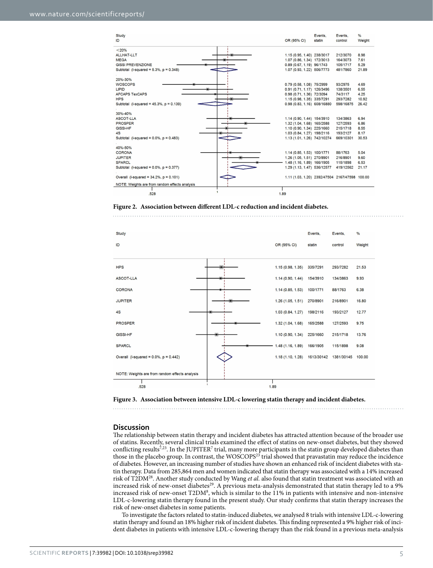

<span id="page-4-0"></span>**Figure 2. Association between different LDL-c reduction and incident diabetes.** 



<span id="page-4-1"></span>

#### **Discussion**

The relationship between statin therapy and incident diabetes has attracted attention because of the broader use of statins. Recently, several clinical trials examined the effect of statins on new-onset diabetes, but they showed conflicting results<sup>7,[23](#page-8-6)</sup>. In the JUPITER<sup>7</sup> trial, many more participants in the statin group developed diabetes than those in the placebo group. In contrast, the WOSCOPS<sup>23</sup> trial showed that pravastatin may reduce the incidence of diabetes. However, an increasing number of studies have shown an enhanced risk of incident diabetes with statin therapy. Data from 285,864 men and women indicated that statin therapy was associated with a 14% increased risk of T2DM[28](#page-8-11). Another study conducted by Wang *et al.* also found that statin treatment was associated with an increased risk of new-onset diabetes<sup>29</sup>. A previous meta-analysis demonstrated that statin therapy led to a 9% increased risk of new-onset T2DM<sup>[8](#page-7-4)</sup>, which is similar to the 11% in patients with intensive and non-intensive LDL-c-lowering statin therapy found in the present study. Our study confirms that statin therapy increases the risk of new-onset diabetes in some patients.

To investigate the factors related to statin-induced diabetes, we analysed 8 trials with intensive LDL-c-lowering statin therapy and found an 18% higher risk of incident diabetes. This finding represented a 9% higher risk of incident diabetes in patients with intensive LDL-c-lowering therapy than the risk found in a previous meta-analysis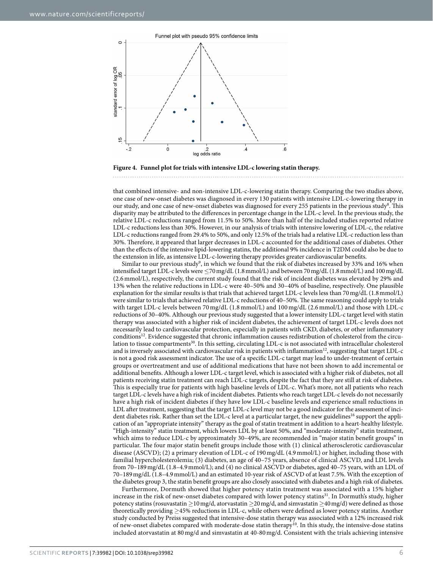

<span id="page-5-0"></span>**Figure 4. Funnel plot for trials with intensive LDL-c lowering statin therapy.** 

that combined intensive- and non-intensive LDL-c-lowering statin therapy. Comparing the two studies above, one case of new-onset diabetes was diagnosed in every 130 patients with intensive LDL-c-lowering therapy in our study, and one case of new-onset diabetes was diagnosed for every 255 patients in the previous study<sup>8</sup>. This disparity may be attributed to the differences in percentage change in the LDL-c level. In the previous study, the relative LDL-c reductions ranged from 11.5% to 50%. More than half of the included studies reported relative LDL-c reductions less than 30%. However, in our analysis of trials with intensive lowering of LDL-c, the relative LDL-c reductions ranged from 29.4% to 50%, and only 12.5% of the trials had a relative LDL-c reduction less than 30%. Therefore, it appeared that larger decreases in LDL-c accounted for the additional cases of diabetes. Other than the effects of the intensive lipid-lowering statins, the additional 9% incidence in T2DM could also be due to the extension in life, as intensive LDL-c-lowering therapy provides greater cardiovascular benefits.

Similar to our previous study<sup>9</sup>, in which we found that the risk of diabetes increased by 33% and 16% when intensified target LDL-c levels were ≤70mg/dL (1.8mmol/L) and between 70mg/dL (1.8mmol/L) and 100mg/dL (2.6 mmol/L), respectively, the current study found that the risk of incident diabetes was elevated by 29% and 13% when the relative reductions in LDL-c were 40–50% and 30–40% of baseline, respectively. One plausible explanation for the similar results is that trials that achieved target LDL-c levels less than 70mg/dL (1.8mmol/L) were similar to trials that achieved relative LDL-c reductions of 40–50%. The same reasoning could apply to trials with target LDL-c levels between 70 mg/dL (1.8 mmol/L) and 100 mg/dL (2.6 mmol/L) and those with LDL-c reductions of 30–40%. Although our previous study suggested that a lower intensity LDL-c target level with statin therapy was associated with a higher risk of incident diabetes, the achievement of target LDL-c levels does not necessarily lead to cardiovascular protection, especially in patients with CKD, diabetes, or other inflammatory conditions[12.](#page-7-8) Evidence suggested that chronic inflammation causes redistribution of cholesterol from the circulation to tissue compartments<sup>30</sup>. In this setting, circulating LDL-c is not associated with intracellular cholesterol and is inversely associated with cardiovascular risk in patients with inflammation $12$ , suggesting that target LDL-c is not a good risk assessment indicator. The use of a specific LDL-c target may lead to under-treatment of certain groups or overtreatment and use of additional medications that have not been shown to add incremental or additional benefits. Although a lower LDL-c target level, which is associated with a higher risk of diabetes, not all patients receiving statin treatment can reach LDL-c targets, despite the fact that they are still at risk of diabetes. This is especially true for patients with high baseline levels of LDL-c. What's more, not all patients who reach target LDL-c levels have a high risk of incident diabetes. Patients who reach target LDL-c levels do not necessarily have a high risk of incident diabetes if they have low LDL-c baseline levels and experience small reductions in LDL after treatment, suggesting that the target LDL-c level may not be a good indicator for the assessment of incident diabetes risk. Rather than set the LDL-c level at a particular target, the new guidelines<sup>16</sup> support the application of an "appropriate intensity" therapy as the goal of statin treatment in addition to a heart-healthy lifestyle. "High-intensity" statin treatment, which lowers LDL by at least 50%, and "moderate-intensity" statin treatment, which aims to reduce LDL-c by approximately 30–49%, are recommended in "major statin benefit groups" in particular. The four major statin benefit groups include those with (1) clinical atherosclerotic cardiovascular disease (ASCVD); (2) a primary elevation of LDL-c of 190mg/dL (4.9mmol/L) or higher, including those with familial hypercholesterolemia; (3) diabetes, an age of 40–75 years, absence of clinical ASCVD, and LDL levels from 70–189mg/dL (1.8–4.9mmol/L); and (4) no clinical ASCVD or diabetes, aged 40–75 years, with an LDL of 70–189mg/dL (1.8–4.9mmol/L) and an estimated 10-year risk of ASCVD of at least 7.5%. With the exception of the diabetes group 3, the statin benefit groups are also closely associated with diabetes and a high risk of diabetes.

Furthermore, Dormuth showed that higher potency statin treatment was associated with a 15% higher increase in the risk of new-onset diabetes compared with lower potency statins<sup>31</sup>. In Dormuth's study, higher potency statins (rosuvastatin ≥10mg/d, atorvastatin ≥20mg/d, and simvastatin ≥40mg/d) were defined as those theoretically providing ≥45% reductions in LDL-c, while others were defined as lower potency statins. Another study conducted by Preiss suggested that intensive-dose statin therapy was associated with a 12% increased risk of new-onset diabetes compared with moderate-dose statin therapy[10](#page-7-6). In this study, the intensive-dose statins included atorvastatin at 80 mg/d and simvastatin at 40-80 mg/d. Consistent with the trials achieving intensive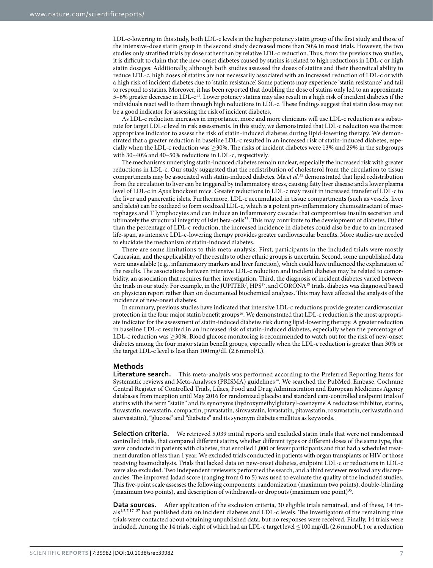LDL-c-lowering in this study, both LDL-c levels in the higher potency statin group of the first study and those of the intensive-dose statin group in the second study decreased more than 30% in most trials. However, the two studies only stratified trials by dose rather than by relative LDL-c reduction. Thus, from the previous two studies, it is difficult to claim that the new-onset diabetes caused by statins is related to high reductions in LDL-c or high statin dosages. Additionally, although both studies assessed the doses of statins and their theoretical ability to reduce LDL-c, high doses of statins are not necessarily associated with an increased reduction of LDL-c or with a high risk of incident diabetes due to 'statin resistance'. Some patients may experience 'statin resistance' and fail to respond to statins. Moreover, it has been reported that doubling the dose of statins only led to an approximate 5–6% greater decrease in LDL-c<sup>[11](#page-7-7)</sup>. Lower potency statins may also result in a high risk of incident diabetes if the individuals react well to them through high reductions in LDL-c. These findings suggest that statin dose may not be a good indicator for assessing the risk of incident diabetes.

As LDL-c reduction increases in importance, more and more clinicians will use LDL-c reduction as a substitute for target LDL-c level in risk assessments. In this study, we demonstrated that LDL-c reduction was the most appropriate indicator to assess the risk of statin-induced diabetes during lipid-lowering therapy. We demonstrated that a greater reduction in baseline LDL-c resulted in an increased risk of statin-induced diabetes, especially when the LDL-c reduction was ≥30%. The risks of incident diabetes were 13% and 29% in the subgroups with 30–40% and 40–50% reductions in LDL-c, respectively.

The mechanisms underlying statin-induced diabetes remain unclear, especially the increased risk with greater reductions in LDL-c. Our study suggested that the redistribution of cholesterol from the circulation to tissue compartments may be associated with statin-induced diabetes. Ma *et al.*[32](#page-8-15) demonstrated that lipid redistribution from the circulation to liver can be triggered by inflammatory stress, causing fatty liver disease and a lower plasma level of LDL-c in *Apoe* knockout mice. Greater reductions in LDL-c may result in increased transfer of LDL-c to the liver and pancreatic islets. Furthermore, LDL-c accumulated in tissue compartments (such as vessels, liver and islets) can be oxidized to form oxidized LDL-c, which is a potent pro-inflammatory chemoattractant of macrophages and T lymphocytes and can induce an inflammatory cascade that compromises insulin secretion and ultimately the structural integrity of islet beta-cells<sup>33</sup>. This may contribute to the development of diabetes. Other than the percentage of LDL-c reduction, the increased incidence in diabetes could also be due to an increased life-span, as intensive LDL-c-lowering therapy provides greater cardiovascular benefits. More studies are needed to elucidate the mechanism of statin-induced diabetes.

There are some limitations to this meta-analysis. First, participants in the included trials were mostly Caucasian, and the applicability of the results to other ethnic groups is uncertain. Second, some unpublished data were unavailable (e.g., inflammatory markers and liver function), which could have influenced the explanation of the results. The associations between intensive LDL-c reduction and incident diabetes may be related to comorbidity, an association that requires further investigation. Third, the diagnosis of incident diabetes varied between the trials in our study. For example, in the JUPITER<sup>[7](#page-7-3)</sup>, HPS<sup>[17](#page-8-0)</sup>, and CORONA<sup>19</sup> trials, diabetes was diagnosed based on physician report rather than on documented biochemical analyses. This may have affected the analysis of the incidence of new-onset diabetes.

In summary, previous studies have indicated that intensive LDL-c reductions provide greater cardiovascular protection in the four major statin benefit groups<sup>16</sup>. We demonstrated that LDL-c reduction is the most appropriate indicator for the assessment of statin-induced diabetes risk during lipid-lowering therapy. A greater reduction in baseline LDL-c resulted in an increased risk of statin-induced diabetes, especially when the percentage of LDL-c reduction was ≥30%. Blood glucose monitoring is recommended to watch out for the risk of new-onset diabetes among the four major statin benefit groups, especially when the LDL-c reduction is greater than 30% or the target LDL-c level is less than 100mg/dL (2.6mmol/L).

#### **Methods**

**Literature search.** This meta-analysis was performed according to the Preferred Reporting Items for Systematic reviews and Meta-Analyses (PRISMA) guidelines<sup>34</sup>. We searched the PubMed, Embase, Cochrane Central Register of Controlled Trials, Lilacs, Food and Drug Administration and European Medicines Agency databases from inception until May 2016 for randomized placebo and standard care-controlled endpoint trials of statins with the term "statin" and its synonyms (hydroxymethylglutaryl-coenzyme A reductase inhibitor, statins, fluvastatin, mevastatin, compactin, pravastatin, simvastatin, lovastatin, pitavastatin, rosuvastatin, cerivastatin and atorvastatin), "glucose" and "diabetes" and its synonym diabetes mellitus as keywords.

**Selection criteria.** We retrieved 5,039 initial reports and excluded statin trials that were not randomized controlled trials, that compared different statins, whether different types or different doses of the same type, that were conducted in patients with diabetes, that enrolled 1,000 or fewer participants and that had a scheduled treatment duration of less than 1 year. We excluded trials conducted in patients with organ transplants or HIV or those receiving haemodialysis. Trials that lacked data on new-onset diabetes, endpoint LDL-c or reductions in LDL-c were also excluded. Two independent reviewers performed the search, and a third reviewer resolved any discrepancies. The improved Jadad score (ranging from 0 to 5) was used to evaluate the quality of the included studies. This five-point scale assesses the following components: randomization (maximum two points), double-blinding (maximum two points), and description of withdrawals or dropouts (maximum one point)[35](#page-8-18).

**Data sources.** After application of the exclusion criteria, 30 eligible trials remained, and of these, 14 tri-als<sup>1,[5,](#page-7-13)[7](#page-7-3),17-27</sup> had published data on incident diabetes and LDL-c levels. The investigators of the remaining nine trials were contacted about obtaining unpublished data, but no responses were received. Finally, 14 trials were included. Among the 14 trials, eight of which had an LDL-c target level ≤100mg/dL (2.6mmol/L ) or a reduction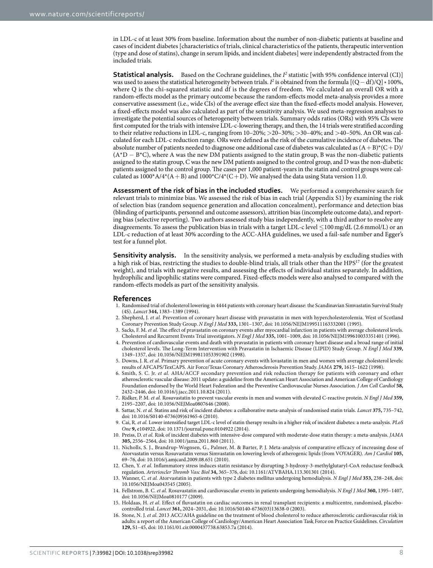in LDL-c of at least 30% from baseline. Information about the number of non-diabetic patients at baseline and cases of incident diabetes [characteristics of trials, clinical characteristics of the patients, therapeutic intervention (type and dose of statins), change in serum lipids, and incident diabetes] were independently abstracted from the included trials.

**Statistical analysis.** Based on the Cochrane guidelines, the  $I^2$  statistic [with 95% confidence interval (CI)] was used to assess the statistical heterogeneity between trials. *I*<sup>2</sup> is obtained from the formula  $[(Q-df)/Q]$  \*100%, where Q is the chi-squared statistic and df is the degrees of freedom. We calculated an overall OR with a random-effects model as the primary outcome because the random-effects model meta-analysis provides a more conservative assessment (i.e., wide CIs) of the average effect size than the fixed-effects model analysis. However, a fixed-effects model was also calculated as part of the sensitivity analysis. We used meta-regression analyses to investigate the potential sources of heterogeneity between trials. Summary odds ratios (ORs) with 95% CIs were first computed for the trials with intensive LDL-c-lowering therapy, and then, the 14 trials were stratified according to their relative reductions in LDL-c, ranging from 10–20%; >20–30%; >30–40%; and >40–50%. An OR was calculated for each LDL-c reduction range. ORs were defined as the risk of the cumulative incidence of diabetes. The absolute number of patients needed to diagnose one additional case of diabetes was calculated as  $(A + B)^*(C + D)$ / (A\*D − B\*C), where A was the new DM patients assigned to the statin group, B was the non-diabetic patients assigned to the statin group, C was the new DM patients assigned to the control group, and D was the non-diabetic patients assigned to the control group. The cases per 1,000 patient-years in the statin and control groups were calculated as  $1000^*A/4^*(A+B)$  and  $1000^*C/4^*(C+D)$ . We analysed the data using Stata version 11.0.

**Assessment of the risk of bias in the included studies.** We performed a comprehensive search for relevant trials to minimize bias. We assessed the risk of bias in each trial (Appendix S1) by examining the risk of selection bias (random sequence generation and allocation concealment), performance and detection bias (blinding of participants, personnel and outcome assessors), attrition bias (incomplete outcome data), and reporting bias (selective reporting). Two authors assessed study bias independently, with a third author to resolve any disagreements. To assess the publication bias in trials with a target LDL-c level ≤100mg/dL (2.6mmol/L) or an LDL-c reduction of at least 30% according to the ACC-AHA guidelines, we used a fail-safe number and Egger's test for a funnel plot.

**Sensitivity analysis.** In the sensitivity analysis, we performed a meta-analysis by excluding studies with a high risk of bias, restricting the studies to double-blind trials, all trials other than the HP[S17](#page-8-0) (for the greatest weight), and trials with negative results, and assessing the effects of individual statins separately. In addition, hydrophilic and lipophilic statins were compared. Fixed-effects models were also analysed to compared with the random-effects models as part of the sensitivity analysis.

#### **References**

- <span id="page-7-0"></span>1. Randomised trial of cholesterol lowering in 4444 patients with coronary heart disease: the Scandinavian Simvastatin Survival Study (4S). *Lancet* **344,** 1383–1389 (1994).
- 2. Shepherd, J. *et al.* Prevention of coronary heart disease with pravastatin in men with hypercholesterolemia. West of Scotland Coronary Prevention Study Group. *N Engl J Med* **333,** 1301–1307, doi: 10.1056/NEJM199511163332001 (1995).
- <span id="page-7-1"></span>3. Sacks, F. M. *et al.* The effect of pravastatin on coronary events after myocardial infarction in patients with average cholesterol levels. Cholesterol and Recurrent Events Trial investigators. *N Engl J Med* **335,** 1001–1009, doi: 10.1056/NEJM199610033351401 (1996).
- 4. Prevention of cardiovascular events and death with pravastatin in patients with coronary heart disease and a broad range of initial cholesterol levels. The Long-Term Intervention with Pravastatin in Ischaemic Disease (LIPID) Study Group. *N Engl J Med* **339,** 1349–1357, doi: 10.1056/NEJM199811053391902 (1998).
- <span id="page-7-13"></span>5. Downs, J. R. *et al.* Primary prevention of acute coronary events with lovastatin in men and women with average cholesterol levels: results of AFCAPS/TexCAPS. Air Force/Texas Coronary Atherosclerosis Prevention Study. *JAMA* **279,** 1615–1622 (1998).
- <span id="page-7-2"></span>6. Smith, S. C. Jr. *et al.* AHA/ACCF secondary prevention and risk reduction therapy for patients with coronary and other atherosclerotic vascular disease: 2011 update: a guideline from the American Heart Association and American College of Cardiology Foundation endorsed by the World Heart Federation and the Preventive Cardiovascular Nurses Association. *J Am Coll Cardiol* **58,** 2432–2446, doi: 10.1016/j.jacc.2011.10.824 (2011).
- <span id="page-7-3"></span>7. Ridker, P. M. *et al.* Rosuvastatin to prevent vascular events in men and women with elevated C-reactive protein. *N Engl J Med* **359,** 2195–2207, doi: 10.1056/NEJMoa0807646 (2008).
- <span id="page-7-4"></span>8. Sattar, N. *et al.* Statins and risk of incident diabetes: a collaborative meta-analysis of randomised statin trials. *Lancet* **375,** 735–742, doi: 10.1016/S0140-6736(09)61965-6 (2010).
- <span id="page-7-5"></span>9. Cai, R. *et al.* Lower intensified target LDL-c level of statin therapy results in a higher risk of incident diabetes: a meta-analysis. *PLoS One* **9,** e104922, doi: 10.1371/journal.pone.0104922 (2014).
- <span id="page-7-6"></span>10. Preiss, D. *et al.* Risk of incident diabetes with intensive-dose compared with moderate-dose statin therapy: a meta-analysis. *JAMA* **305,** 2556–2564, doi: 10.1001/jama.2011.860 (2011).
- <span id="page-7-7"></span>11. Nicholls, S. J., Brandrup-Wognsen, G., Palmer, M. & Barter, P. J. Meta-analysis of comparative efficacy of increasing dose of Atorvastatin versus Rosuvastatin versus Simvastatin on lowering levels of atherogenic lipids (from VOYAGER). *Am J Cardiol* **105,** 69–76, doi: 10.1016/j.amjcard.2009.08.651 (2010).
- <span id="page-7-8"></span>12. Chen, Y. *et al.* Inflammatory stress induces statin resistance by disrupting 3-hydroxy-3-methylglutaryl-CoA reductase feedback regulation. *Arterioscler Thromb Vasc Biol* **34,** 365–376, doi: 10.1161/ATVBAHA.113.301301 (2014).
- <span id="page-7-9"></span>13. Wanner, C. *et al.* Atorvastatin in patients with type 2 diabetes mellitus undergoing hemodialysis. *N Engl J Med* **353,** 238–248, doi: 10.1056/NEJMoa043545 (2005).
- <span id="page-7-10"></span>14. Fellstrom, B. C. *et al.* Rosuvastatin and cardiovascular events in patients undergoing hemodialysis. *N Engl J Med* **360,** 1395–1407, doi: 10.1056/NEJMoa0810177 (2009).
- <span id="page-7-11"></span>15. Holdaas, H. *et al.* Effect of fluvastatin on cardiac outcomes in renal transplant recipients: a multicentre, randomised, placebocontrolled trial. *Lancet* **361,** 2024–2031, doi: 10.1016/S0140-6736(03)13638-0 (2003).
- <span id="page-7-12"></span>16. Stone, N. J. *et al.* 2013 ACC/AHA guideline on the treatment of blood cholesterol to reduce atherosclerotic cardiovascular risk in adults: a report of the American College of Cardiology/American Heart Association Task Force on Practice Guidelines. *Circulation* **129,** S1–45, doi: 10.1161/01.cir.0000437738.63853.7a (2014).